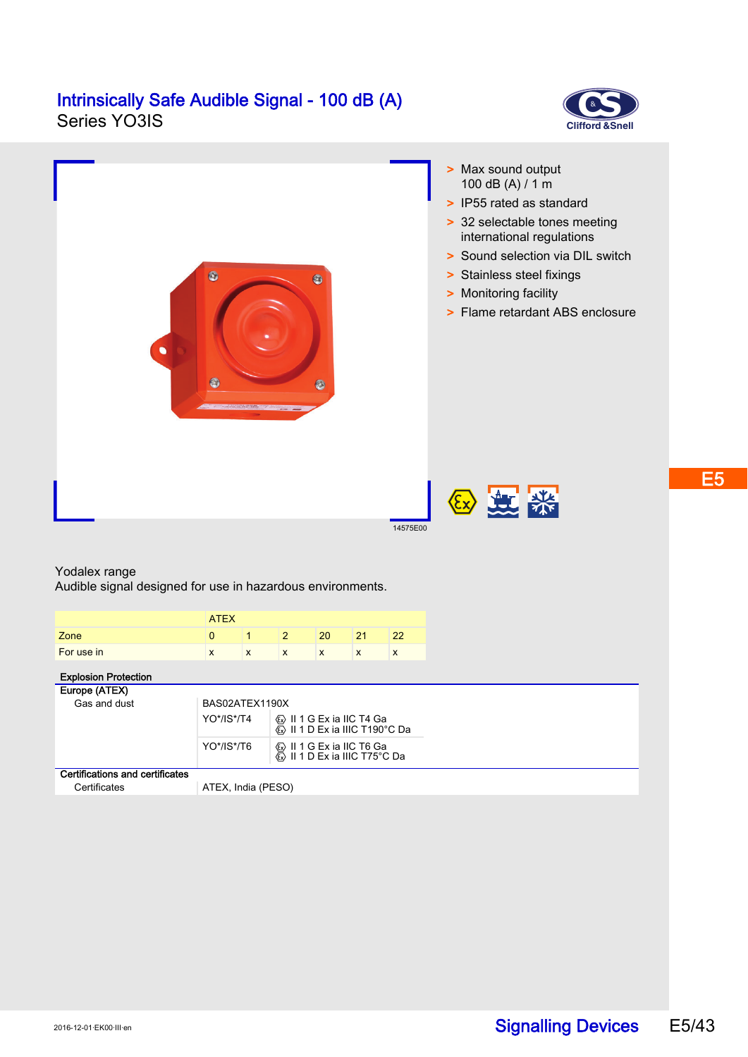# **Intrinsically Safe Audible Signal - 100 dB (A)**<br>Series YO3IS





### Yodalex range

Audible signal designed for use in hazardous environments.

|            | <b>ATEX</b> |   |   |        |           |   |
|------------|-------------|---|---|--------|-----------|---|
| Zone       |             |   |   | 20     |           |   |
| For use in | X           | X | X | v<br>ᄉ | $\lambda$ | X |

## Explosion Protection

| Europe (ATEX)                   |                    |                                                             |  |  |  |
|---------------------------------|--------------------|-------------------------------------------------------------|--|--|--|
| Gas and dust                    | BAS02ATEX1190X     |                                                             |  |  |  |
|                                 | YO*/IS*/T4         | ⊗ II 1 G Ex ia IIC T4 Ga<br>Kes II 1 D Ex ia IIIC T190°C Da |  |  |  |
|                                 | YO*/IS*/T6         | k ll 1 G Ex ia IIC T6 Ga<br>k II 1 D Ex ia IIIC T75°C Da    |  |  |  |
| Certifications and certificates |                    |                                                             |  |  |  |
| Certificates                    | ATEX, India (PESO) |                                                             |  |  |  |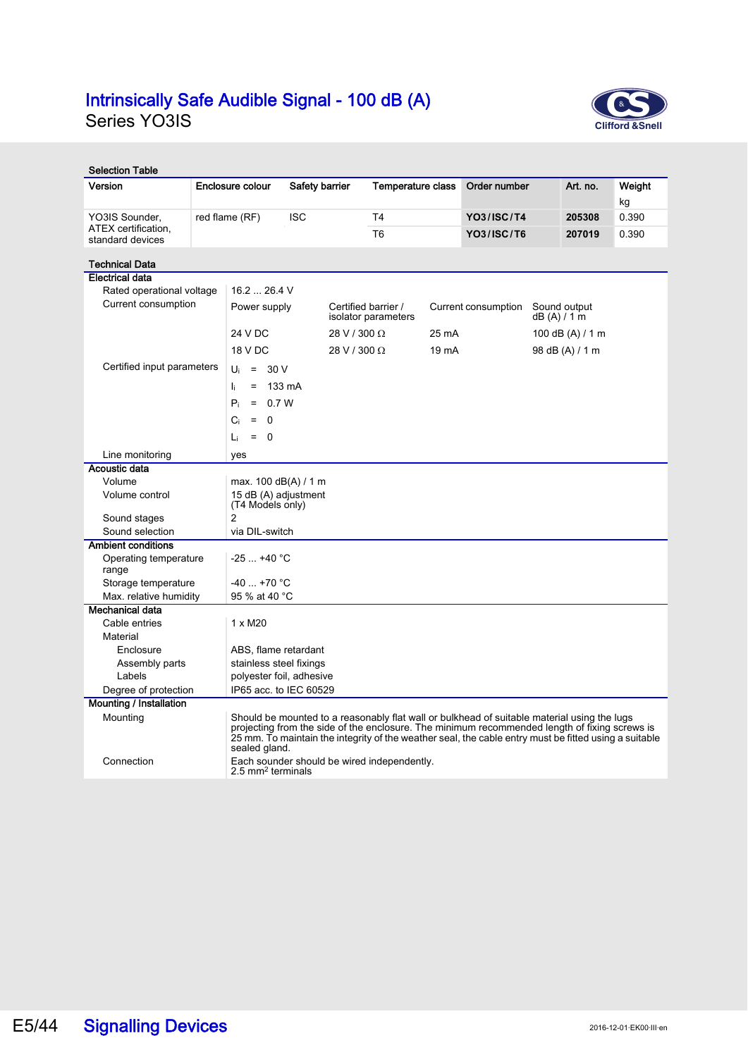# **Intrinsically Safe Audible Signal - 100 dB (A)**<br>Series YO3IS



| <b>Selection Table</b>                  |  |                                                                                                                                                                                                                                                                                                                        |                                             |              |                                            |       |                                  |  |                  |        |
|-----------------------------------------|--|------------------------------------------------------------------------------------------------------------------------------------------------------------------------------------------------------------------------------------------------------------------------------------------------------------------------|---------------------------------------------|--------------|--------------------------------------------|-------|----------------------------------|--|------------------|--------|
| Version                                 |  | Enclosure colour<br>Safety barrier                                                                                                                                                                                                                                                                                     |                                             |              | <b>Temperature class</b>                   |       | Order number                     |  | Art. no.         | Weight |
|                                         |  |                                                                                                                                                                                                                                                                                                                        |                                             |              |                                            |       |                                  |  |                  | kg     |
| YO3IS Sounder,                          |  | red flame (RF)<br><b>ISC</b>                                                                                                                                                                                                                                                                                           |                                             |              | T <sub>4</sub>                             |       | <b>YO3/ISC/T4</b>                |  | 205308           | 0.390  |
| ATEX certification.<br>standard devices |  |                                                                                                                                                                                                                                                                                                                        |                                             |              | T <sub>6</sub>                             |       | <b>YO3/ISC/T6</b>                |  | 207019           | 0.390  |
|                                         |  |                                                                                                                                                                                                                                                                                                                        |                                             |              |                                            |       |                                  |  |                  |        |
| <b>Technical Data</b>                   |  |                                                                                                                                                                                                                                                                                                                        |                                             |              |                                            |       |                                  |  |                  |        |
| <b>Electrical data</b>                  |  |                                                                                                                                                                                                                                                                                                                        |                                             |              |                                            |       |                                  |  |                  |        |
| Rated operational voltage               |  | 16.226.4V                                                                                                                                                                                                                                                                                                              |                                             |              |                                            |       |                                  |  |                  |        |
| Current consumption                     |  | Power supply                                                                                                                                                                                                                                                                                                           |                                             |              | Certified barrier /<br>isolator parameters |       | Current consumption<br>dB(A)/1 m |  | Sound output     |        |
|                                         |  | 24 V DC                                                                                                                                                                                                                                                                                                                |                                             | 28 V / 300 Ω |                                            | 25 mA |                                  |  | 100 dB (A) / 1 m |        |
|                                         |  | 18 V DC                                                                                                                                                                                                                                                                                                                |                                             | 28 V / 300 Ω | 19 mA                                      |       | 98 dB (A) / 1 m                  |  |                  |        |
| Certified input parameters              |  | $= 30 V$<br>Ui                                                                                                                                                                                                                                                                                                         |                                             |              |                                            |       |                                  |  |                  |        |
|                                         |  |                                                                                                                                                                                                                                                                                                                        |                                             |              |                                            |       |                                  |  |                  |        |
|                                         |  | h.<br>$=$                                                                                                                                                                                                                                                                                                              | 133 mA                                      |              |                                            |       |                                  |  |                  |        |
|                                         |  | $P_i$<br>$= 0.7 W$                                                                                                                                                                                                                                                                                                     |                                             |              |                                            |       |                                  |  |                  |        |
|                                         |  | 0<br>Ci<br>$\equiv$                                                                                                                                                                                                                                                                                                    |                                             |              |                                            |       |                                  |  |                  |        |
|                                         |  | $= 0$<br>Li.                                                                                                                                                                                                                                                                                                           |                                             |              |                                            |       |                                  |  |                  |        |
| Line monitoring                         |  | yes                                                                                                                                                                                                                                                                                                                    |                                             |              |                                            |       |                                  |  |                  |        |
| Acoustic data                           |  |                                                                                                                                                                                                                                                                                                                        |                                             |              |                                            |       |                                  |  |                  |        |
| Volume                                  |  | max. 100 dB(A) / 1 m                                                                                                                                                                                                                                                                                                   |                                             |              |                                            |       |                                  |  |                  |        |
| Volume control                          |  | 15 dB (A) adjustment<br>(T4 Models only)                                                                                                                                                                                                                                                                               |                                             |              |                                            |       |                                  |  |                  |        |
| Sound stages                            |  | 2                                                                                                                                                                                                                                                                                                                      |                                             |              |                                            |       |                                  |  |                  |        |
| Sound selection                         |  | via DIL-switch                                                                                                                                                                                                                                                                                                         |                                             |              |                                            |       |                                  |  |                  |        |
| <b>Ambient conditions</b>               |  |                                                                                                                                                                                                                                                                                                                        |                                             |              |                                            |       |                                  |  |                  |        |
| Operating temperature<br>range          |  | $-25+40 °C$                                                                                                                                                                                                                                                                                                            |                                             |              |                                            |       |                                  |  |                  |        |
| Storage temperature                     |  |                                                                                                                                                                                                                                                                                                                        | $-40+70$ °C                                 |              |                                            |       |                                  |  |                  |        |
| Max. relative humidity                  |  | 95 % at 40 °C                                                                                                                                                                                                                                                                                                          |                                             |              |                                            |       |                                  |  |                  |        |
| <b>Mechanical data</b>                  |  |                                                                                                                                                                                                                                                                                                                        |                                             |              |                                            |       |                                  |  |                  |        |
| Cable entries                           |  | $1 \times M20$                                                                                                                                                                                                                                                                                                         |                                             |              |                                            |       |                                  |  |                  |        |
| Material                                |  |                                                                                                                                                                                                                                                                                                                        |                                             |              |                                            |       |                                  |  |                  |        |
| Enclosure                               |  | ABS, flame retardant                                                                                                                                                                                                                                                                                                   |                                             |              |                                            |       |                                  |  |                  |        |
| Assembly parts                          |  | stainless steel fixings                                                                                                                                                                                                                                                                                                |                                             |              |                                            |       |                                  |  |                  |        |
| Labels                                  |  | polyester foil, adhesive                                                                                                                                                                                                                                                                                               |                                             |              |                                            |       |                                  |  |                  |        |
| Degree of protection                    |  | IP65 acc. to IEC 60529                                                                                                                                                                                                                                                                                                 |                                             |              |                                            |       |                                  |  |                  |        |
| <b>Mounting / Installation</b>          |  |                                                                                                                                                                                                                                                                                                                        |                                             |              |                                            |       |                                  |  |                  |        |
| Mounting                                |  | Should be mounted to a reasonably flat wall or bulkhead of suitable material using the lugs<br>projecting from the side of the enclosure. The minimum recommended length of fixing screws is<br>25 mm. To maintain the integrity of the weather seal, the cable entry must be fitted using a suitable<br>sealed gland. |                                             |              |                                            |       |                                  |  |                  |        |
| Connection                              |  | 2.5 mm <sup>2</sup> terminals                                                                                                                                                                                                                                                                                          | Each sounder should be wired independently. |              |                                            |       |                                  |  |                  |        |